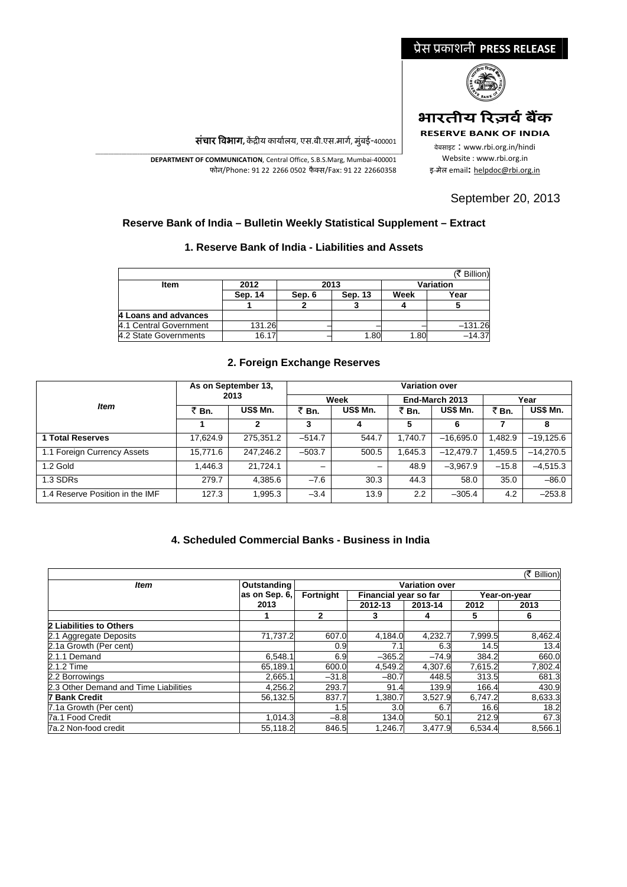# ूेस ूकाशनी **PRESS RELEASE** भारतीय रिज़र्व बैंक **RESERVE BANK OF INDIA** वेबसाइट : www.rbi.org.in/hindi Website : www.rbi.org.in इ‐मेल email**:** [helpdoc@rbi.org.in](mailto:helpdoc@rbi.org.in)

September 20, 2013

संचार विभाग, केंद्रीय कार्यालय, एस.बी.एस.मार्ग, मुंबई-400001

\_\_\_\_\_\_\_\_\_\_\_\_\_\_\_\_\_\_\_\_\_\_\_\_\_\_\_\_\_\_\_\_\_\_\_\_\_\_\_\_\_\_\_\_\_\_\_\_\_\_\_\_\_\_\_\_\_\_\_\_\_\_\_\_\_\_\_\_\_\_\_\_\_\_\_\_\_\_\_\_\_\_\_\_\_\_\_\_\_\_\_\_\_\_\_\_\_\_\_\_\_\_\_\_\_\_\_\_\_\_\_\_\_\_\_\_\_ **DEPARTMENT OF COMMUNICATION**, Central Office, S.B.S.Marg, Mumbai‐400001 फोन/Phone: 91 22 2266 0502 फैक्स/Fax: 91 22 22660358

#### **Reserve Bank of India – Bulletin Weekly Statistical Supplement – Extract**

#### **1. Reserve Bank of India - Liabilities and Assets**

|                        |         |        |         |                  | (₹ Billion) |  |
|------------------------|---------|--------|---------|------------------|-------------|--|
| Item                   | 2012    | 2013   |         | <b>Variation</b> |             |  |
|                        | Sep. 14 | Sep. 6 | Sep. 13 | Week             | Year        |  |
|                        |         |        |         |                  |             |  |
| 4 Loans and advances   |         |        |         |                  |             |  |
| 4.1 Central Government | 131.26  |        |         |                  | $-131.26$   |  |
| 4.2 State Governments  | 16.17   |        | 1.80    | 1.80             | $-14.37$    |  |

#### **2. Foreign Exchange Reserves**

|                                 |          | As on September 13, | <b>Variation over</b> |                 |         |                |         |             |  |  |
|---------------------------------|----------|---------------------|-----------------------|-----------------|---------|----------------|---------|-------------|--|--|
|                                 |          | 2013                |                       | Week            |         | End-March 2013 | Year    |             |  |  |
| <b>Item</b>                     | ₹ Bn.    | US\$ Mn.            | ₹ Bn.                 | <b>US\$ Mn.</b> | ₹Bn.    | US\$ Mn.       | ₹Bn.    | US\$ Mn.    |  |  |
|                                 |          | 2                   | 3                     |                 | 5       | 6              |         | 8           |  |  |
| <b>1 Total Reserves</b>         | 17.624.9 | 275.351.2           | $-514.7$              | 544.7           | 1.740.7 | $-16.695.0$    | 1.482.9 | $-19.125.6$ |  |  |
| 1.1 Foreign Currency Assets     | 15.771.6 | 247.246.2           | $-503.7$              | 500.5           | 1.645.3 | $-12.479.7$    | 1,459.5 | $-14.270.5$ |  |  |
| 1.2 Gold                        | 1,446.3  | 21.724.1            | -                     | -               | 48.9    | $-3,967.9$     | $-15.8$ | $-4,515.3$  |  |  |
| 1.3 SDRs                        | 279.7    | 4,385.6             | $-7.6$                | 30.3            | 44.3    | 58.0           | 35.0    | $-86.0$     |  |  |
| 1.4 Reserve Position in the IMF | 127.3    | 1,995.3             | $-3.4$                | 13.9            | 2.2     | $-305.4$       | 4.2     | $-253.8$    |  |  |

### **4. Scheduled Commercial Banks - Business in India**

|                                                     |               |           |          |                                             |         | (そ Billion)  |  |  |
|-----------------------------------------------------|---------------|-----------|----------|---------------------------------------------|---------|--------------|--|--|
| Outstanding<br><b>Variation over</b><br><b>Item</b> |               |           |          |                                             |         |              |  |  |
|                                                     | as on Sep. 6, | Fortnight |          | Financial year so far<br>2012-13<br>2013-14 |         | Year-on-year |  |  |
|                                                     | 2013          |           |          |                                             |         | 2013         |  |  |
|                                                     |               | 2         | 3        |                                             | 5       | 6            |  |  |
| 2 Liabilities to Others                             |               |           |          |                                             |         |              |  |  |
| 2.1 Aggregate Deposits                              | 71,737.2      | 607.0     | 4,184.0  | 4,232.7                                     | 7,999.5 | 8,462.4      |  |  |
| 2.1a Growth (Per cent)                              |               | 0.9       | 7.1I     | 6.3                                         | 14.5    | 13.4         |  |  |
| 2.1.1 Demand                                        | 6,548.1       | 6.9       | $-365.2$ | $-74.9$                                     | 384.2   | 660.0        |  |  |
| 2.1.2 Time                                          | 65.189.1      | 600.0     | 4.549.2  | 4.307.6                                     | 7.615.2 | 7,802.4      |  |  |
| 2.2 Borrowings                                      | 2.665.1       | $-31.8$   | $-80.7$  | 448.5                                       | 313.5   | 681.3        |  |  |
| 2.3 Other Demand and Time Liabilities               | 4,256.2       | 293.7     | 91.4     | 139.9                                       | 166.4   | 430.9        |  |  |
| <b>7 Bank Credit</b>                                | 56,132.5      | 837.7     | 1,380.7  | 3.527.9                                     | 6,747.2 | 8,633.3      |  |  |
| 7.1a Growth (Per cent)                              |               | 1.5       | 3.0      | 6.7                                         | 16.6    | 18.2         |  |  |
| 7a.1 Food Credit                                    | 1,014.3       | $-8.8$    | 134.0    | 50.1                                        | 212.9   | 67.3         |  |  |
| 7a.2 Non-food credit                                | 55,118.2      | 846.5     | 1,246.7  | 3,477.9                                     | 6,534.4 | 8,566.1      |  |  |